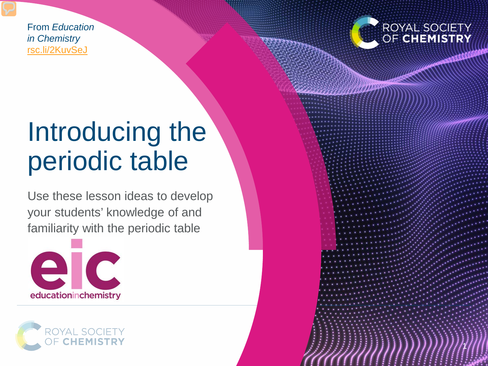From *Education in Chemistry* [rsc.li/2KuvSeJ](https://rsc.li/2KuvSeJ)



1

## Introducing the periodic table

Use these lesson ideas to develop your students' knowledge of and familiarity with the periodic table



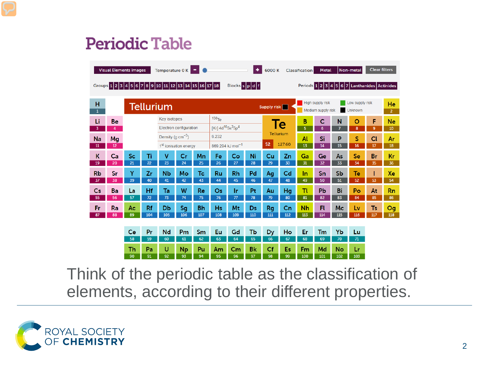#### **Periodic Table**

|                                                                                                                    | <b>Visual Elements images</b> |                 |                  | Temperature 0 K                                                    |           |           |                                                       |                | ٠            | 6000 K          |                  | <b>Classification</b> | <b>Metal</b>                           |           | Non-metal                         | <b>Clear filters</b> |                      |
|--------------------------------------------------------------------------------------------------------------------|-------------------------------|-----------------|------------------|--------------------------------------------------------------------|-----------|-----------|-------------------------------------------------------|----------------|--------------|-----------------|------------------|-----------------------|----------------------------------------|-----------|-----------------------------------|----------------------|----------------------|
| Blocks spd f<br>Periods 1 2 3 4 5 6 7 Lanthanides Actinides<br>Groups 1 2 3 4 5 6 7 8 9 10 11 12 13 14 15 16 17 18 |                               |                 |                  |                                                                    |           |           |                                                       |                |              |                 |                  |                       |                                        |           |                                   |                      |                      |
| н<br>$\mathbf{1}$                                                                                                  |                               |                 | <b>Tellurium</b> |                                                                    |           |           |                                                       |                |              | Supply risk     |                  |                       | High supply risk<br>Medium supply risk |           | Low supply risk<br><b>Unknown</b> |                      | He<br>$\overline{2}$ |
| Li                                                                                                                 | <b>Be</b>                     |                 |                  | <b>Key isotopes</b>                                                |           |           | 130 <sub>Te</sub>                                     |                |              |                 | Te               | в                     | C                                      | N         | O                                 | F                    | Ne                   |
| 3                                                                                                                  | 4                             |                 |                  | Electron configuration                                             |           |           | [Kr] 4d <sup>10</sup> 5s <sup>2</sup> 5p <sup>4</sup> |                |              |                 | <b>Tellurium</b> | 5                     | 6                                      | 7         | 8                                 | 9                    | 10                   |
| <b>Na</b>                                                                                                          | Mg                            |                 |                  | Density (g $\text{cm}^{-3}$ )<br>1 <sup>st</sup> ionisation energy |           |           | 6.232<br>869.294 kJ mol <sup>-1</sup>                 |                | 52<br>127.60 |                 | Al               | Si                    | P                                      | S         | $CI$                              | Ar                   |                      |
| 11                                                                                                                 | 12                            |                 |                  |                                                                    |           |           |                                                       |                |              |                 |                  | $\overline{13}$       | 14                                     | 15        | 16                                | 17                   | 18                   |
| К<br>19                                                                                                            | Ca<br>20                      | <b>Sc</b><br>21 | Τi<br>22         | v<br>23                                                            | Cr<br>24  | Mn<br>25  | Fe<br>26                                              | Co<br>27       | Ni<br>28     | Cu<br>29        | Zn<br>30         | Ga<br>$\overline{31}$ | Ge<br>32                               | As<br>33  | Se<br>34                          | <b>Br</b><br>35      | Kr<br>36             |
| <b>Rb</b>                                                                                                          | Sr                            | Y               | Zr               | <b>N<sub>b</sub></b>                                               | Mo        | Tc.       | Ru                                                    | <b>Rh</b>      | Pd           |                 | Cd               | In                    | Sn                                     | <b>Sb</b> | Te                                |                      | Xe                   |
| 37                                                                                                                 | 38                            | 39              | 40               | 41                                                                 | 42        | 43        | 44                                                    | 45             | 46           | Ag<br>47        | 48               | 49                    | 50                                     | 51        | 52                                | 53                   | 54                   |
| Cs                                                                                                                 | Ba                            | La              | Hf               | Ta                                                                 | W         | Re        | Os                                                    | 1r             | Pt           | Au              | Hg               | Τt                    | Pb                                     | Bi        | Po                                | At                   | <b>Rn</b>            |
| 55                                                                                                                 | 56                            | 57              | 72               | 73                                                                 | 74        | 75        | 76                                                    | $\overline{7}$ | 78           | 79              | 80               | 81                    | 82                                     | 83        | 84                                | 85                   | 86                   |
| Fr                                                                                                                 | Ra                            | Ac              | Rf               | Db                                                                 | Sg        | <b>Bh</b> | <b>Hs</b>                                             | Mt             | Ds           | Rg              | Cn               | <b>Nh</b>             | Fl                                     | Mc        | Lv                                | <b>Ts</b>            | Og                   |
| 87                                                                                                                 | 88                            | 89              | 104              | 105                                                                | 106       | 107       | 108                                                   | 109            | 110          | 111             | 112              | 113                   | 114                                    | 115       | 116                               | 117                  | 118                  |
|                                                                                                                    |                               |                 |                  |                                                                    |           |           |                                                       |                |              |                 |                  |                       |                                        |           |                                   |                      |                      |
|                                                                                                                    |                               | Ce<br>58        | Pr<br>59         | <b>Nd</b><br>60                                                    | Pm<br>61  | Sm<br>62  | Eu<br>63                                              | Gd<br>64       | Tb<br>65     | <b>Dy</b><br>66 | Ho<br>67         | Er<br>68              | Tm<br>69                               | Yb<br>70  | Lu<br>71                          |                      |                      |
|                                                                                                                    |                               | Th              | Pa               | U                                                                  | <b>Np</b> | Pu        | Am                                                    | Cm             | <b>Bk</b>    | Cf              | Es               | Fm                    | Md                                     | No        | Lr                                |                      |                      |
|                                                                                                                    |                               | 90              | 91               | 92                                                                 | 93        | 94        | 95                                                    | 96             | 97           | 98              | 99               | 100                   | 101                                    | 102       | 103                               |                      |                      |

Think of the periodic table as the classification of elements, according to their different properties.

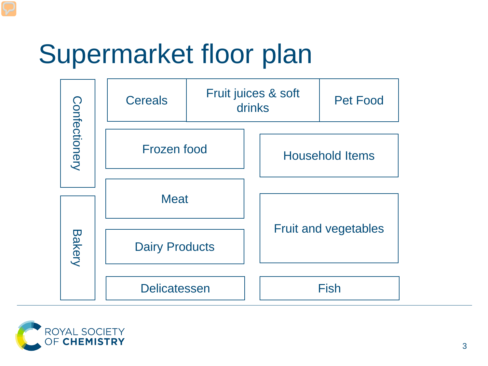# Supermarket floor plan



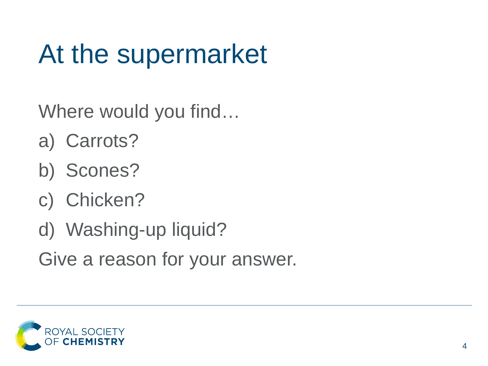# At the supermarket

Where would you find…

- a) Carrots?
- b) Scones?
- c) Chicken?
- d) Washing-up liquid?

Give a reason for your answer.

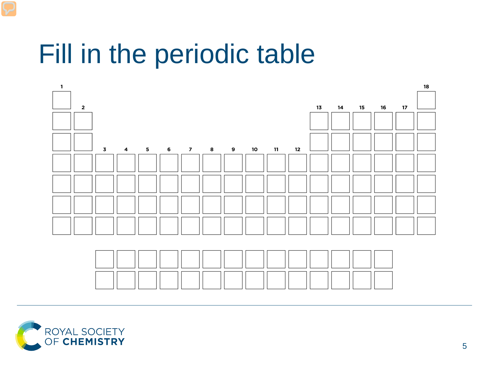#### Fill in the periodic table



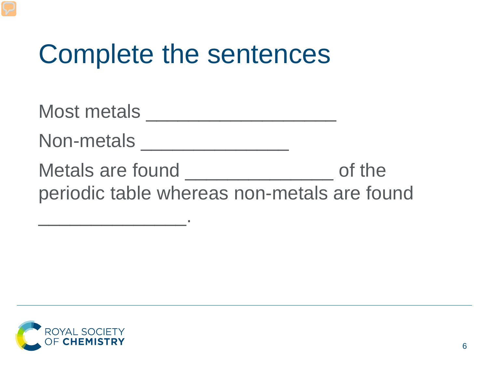#### Complete the sentences

Most metals \_\_\_\_\_\_\_\_\_\_\_\_\_\_\_\_\_\_ Non-metals \_\_\_\_\_\_\_\_\_\_\_\_\_\_ Metals are found \_\_\_\_\_\_\_\_\_\_\_\_\_\_\_\_\_\_\_\_\_ of the periodic table whereas non-metals are found

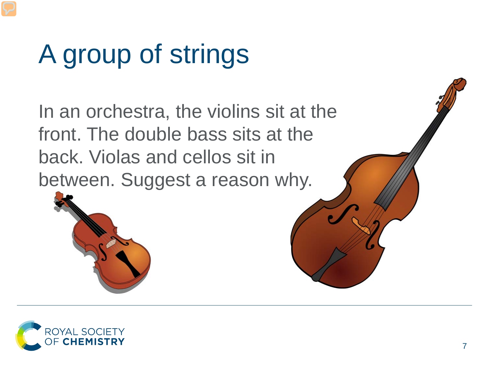# A group of strings

In an orchestra, the violins sit at the front. The double bass sits at the back. Violas and cellos sit in between. Suggest a reason why.



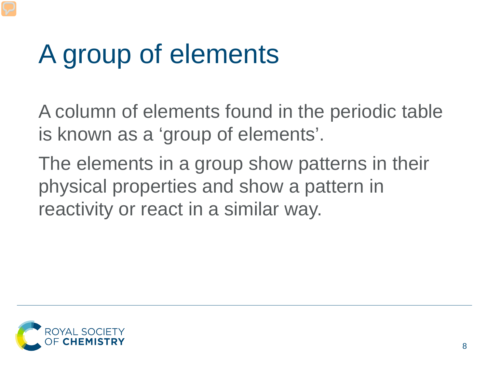## A group of elements

A column of elements found in the periodic table is known as a 'group of elements'.

The elements in a group show patterns in their physical properties and show a pattern in reactivity or react in a similar way.

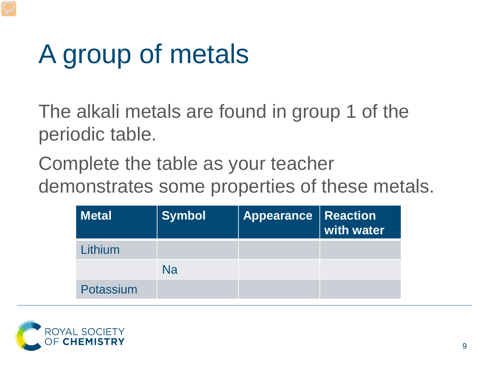# A group of metals

The alkali metals are found in group 1 of the periodic table.

Complete the table as your teacher demonstrates some properties of these metals.

| <b>Metal</b> | <b>Symbol</b> | <b>Appearance   Reaction</b> | with water |
|--------------|---------------|------------------------------|------------|
| Lithium      |               |                              |            |
|              | Na            |                              |            |
| Potassium    |               |                              |            |

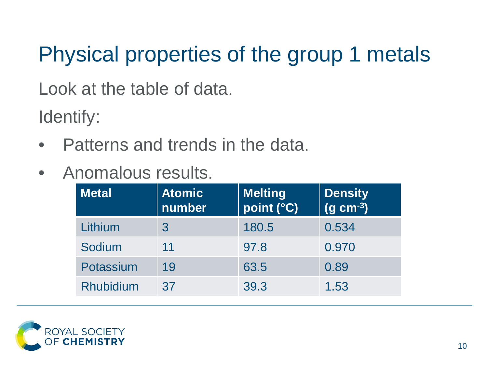#### Physical properties of the group 1 metals

Look at the table of data.

Identify:

- Patterns and trends in the data.
- Anomalous results.

| <b>Metal</b>     | <b>Atomic</b><br>number | <b>Melting</b><br>point (°C) | <b>Density</b><br>$(g \text{ cm}^{-3})$ |  |  |
|------------------|-------------------------|------------------------------|-----------------------------------------|--|--|
| Lithium          | 3                       | 180.5                        | 0.534                                   |  |  |
| Sodium           | 11                      | 97.8                         | 0.970                                   |  |  |
| Potassium        | 19                      | 63.5                         | 0.89                                    |  |  |
| <b>Rhubidium</b> | 37                      | 39.3                         | 1.53                                    |  |  |

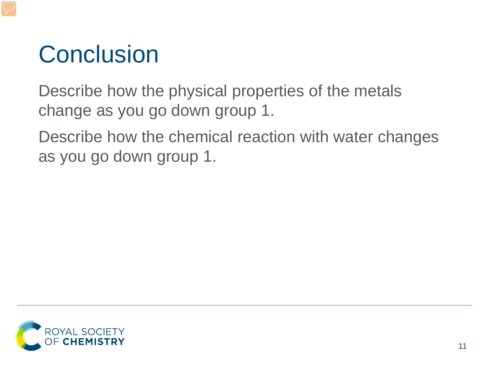#### **Conclusion**

Describe how the physical properties of the metals change as you go down group 1.

Describe how the chemical reaction with water changes as you go down group 1.